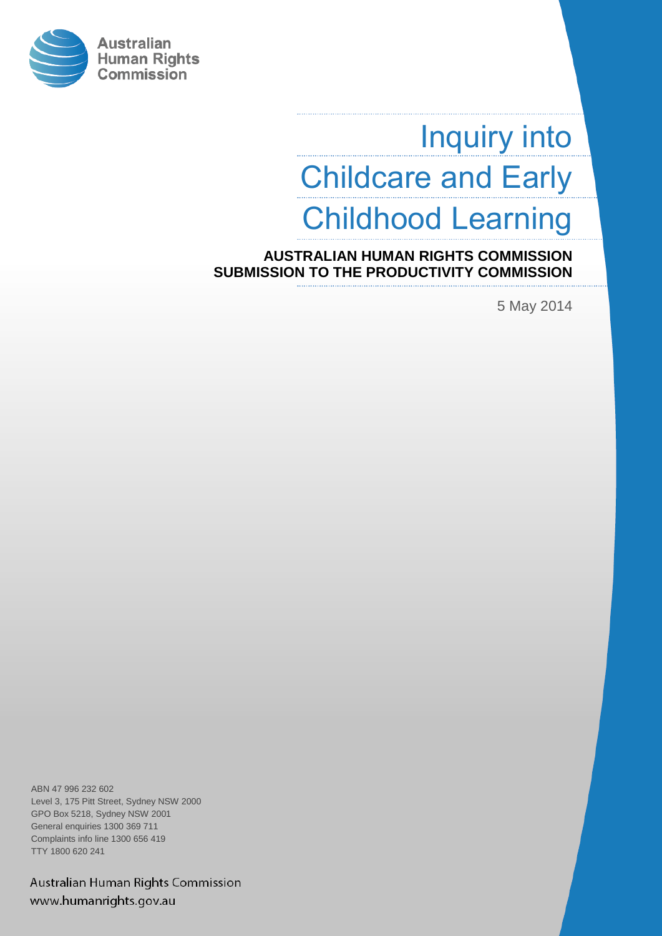

# Inquiry into Childcare and Early Childhood Learning

**AUSTRALIAN HUMAN RIGHTS COMMISSION SUBMISSION TO THE PRODUCTIVITY COMMISSION**

5 May 2014

ABN 47 996 232 602 Level 3, 175 Pitt Street, Sydney NSW 2000 GPO Box 5218, Sydney NSW 2001 General enquiries 1300 369 711 Complaints info line 1300 656 419 TTY 1800 620 241

Australian Human Rights Commission www.humanrights.gov.au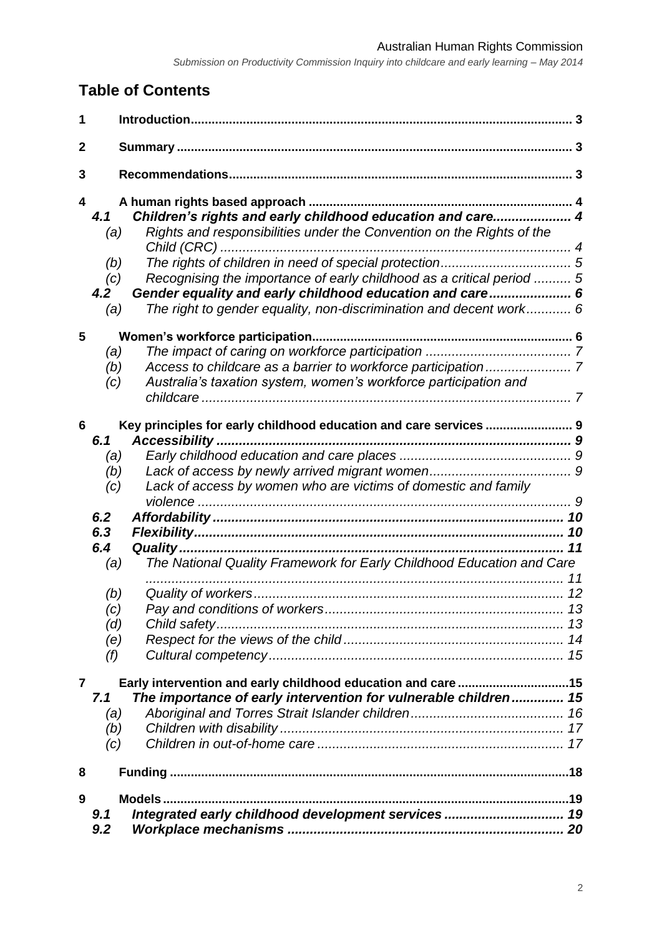# **Table of Contents**

| 1              |                                        |                                                                                                                                                                                                                                                                                                                                                |    |
|----------------|----------------------------------------|------------------------------------------------------------------------------------------------------------------------------------------------------------------------------------------------------------------------------------------------------------------------------------------------------------------------------------------------|----|
| 2              |                                        |                                                                                                                                                                                                                                                                                                                                                |    |
| 3              |                                        |                                                                                                                                                                                                                                                                                                                                                |    |
| 4              | 4.1<br>(a)<br>(b)<br>(c)<br>4.2<br>(a) | Children's rights and early childhood education and care 4<br>Rights and responsibilities under the Convention on the Rights of the<br>Recognising the importance of early childhood as a critical period  5<br>Gender equality and early childhood education and care 6<br>The right to gender equality, non-discrimination and decent work 6 |    |
| 5              |                                        |                                                                                                                                                                                                                                                                                                                                                |    |
|                | (a)                                    |                                                                                                                                                                                                                                                                                                                                                |    |
|                | (b)                                    |                                                                                                                                                                                                                                                                                                                                                |    |
|                | (c)                                    | Australia's taxation system, women's workforce participation and                                                                                                                                                                                                                                                                               |    |
|                |                                        |                                                                                                                                                                                                                                                                                                                                                |    |
| 6              |                                        | Key principles for early childhood education and care services  9                                                                                                                                                                                                                                                                              |    |
|                | 6.1                                    |                                                                                                                                                                                                                                                                                                                                                |    |
|                | (a)                                    |                                                                                                                                                                                                                                                                                                                                                |    |
|                | (b)                                    |                                                                                                                                                                                                                                                                                                                                                |    |
|                | (c)                                    | Lack of access by women who are victims of domestic and family                                                                                                                                                                                                                                                                                 |    |
|                |                                        |                                                                                                                                                                                                                                                                                                                                                |    |
|                | 6.2                                    |                                                                                                                                                                                                                                                                                                                                                |    |
|                | 6.3                                    |                                                                                                                                                                                                                                                                                                                                                | 10 |
|                | 6.4                                    |                                                                                                                                                                                                                                                                                                                                                | 11 |
|                | (a)                                    | The National Quality Framework for Early Childhood Education and Care                                                                                                                                                                                                                                                                          |    |
|                |                                        |                                                                                                                                                                                                                                                                                                                                                |    |
|                | (b)                                    |                                                                                                                                                                                                                                                                                                                                                |    |
|                | (c)                                    |                                                                                                                                                                                                                                                                                                                                                | 13 |
|                | (d)                                    |                                                                                                                                                                                                                                                                                                                                                |    |
|                | (e)                                    |                                                                                                                                                                                                                                                                                                                                                |    |
|                | (f)                                    |                                                                                                                                                                                                                                                                                                                                                |    |
| $\overline{7}$ |                                        | Early intervention and early childhood education and care 15                                                                                                                                                                                                                                                                                   |    |
|                | 7.1                                    | The importance of early intervention for vulnerable children 15                                                                                                                                                                                                                                                                                |    |
|                | (a)                                    |                                                                                                                                                                                                                                                                                                                                                |    |
|                | (b)                                    |                                                                                                                                                                                                                                                                                                                                                |    |
|                | (c)                                    |                                                                                                                                                                                                                                                                                                                                                |    |
| 8              |                                        |                                                                                                                                                                                                                                                                                                                                                |    |
| 9              |                                        |                                                                                                                                                                                                                                                                                                                                                |    |
|                | 9.1                                    | Integrated early childhood development services 19                                                                                                                                                                                                                                                                                             |    |
|                | 9.2                                    |                                                                                                                                                                                                                                                                                                                                                |    |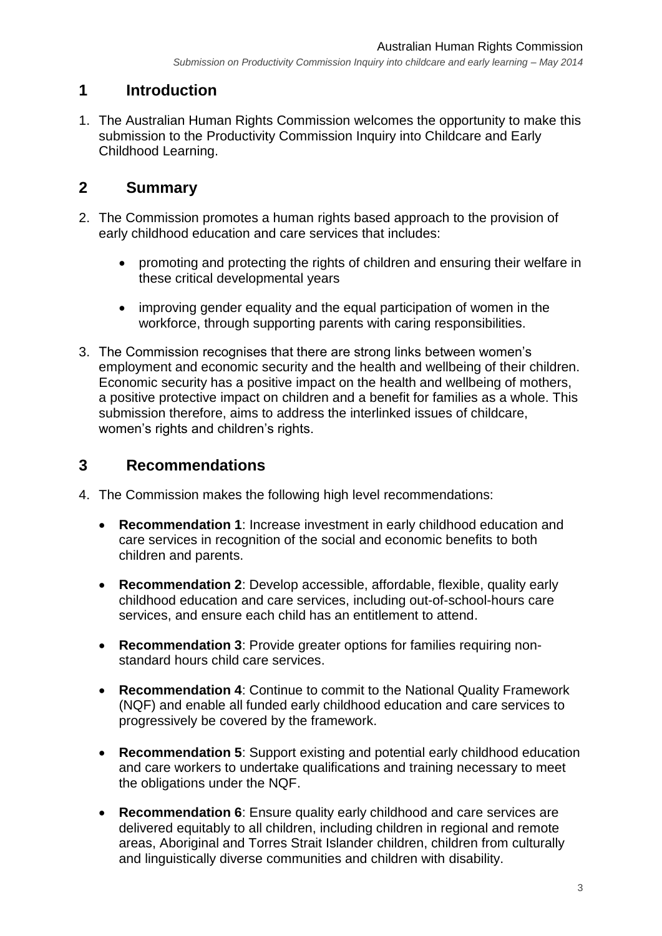## <span id="page-2-0"></span>**1 Introduction**

1. The Australian Human Rights Commission welcomes the opportunity to make this submission to the Productivity Commission Inquiry into Childcare and Early Childhood Learning.

## <span id="page-2-1"></span>**2 Summary**

- 2. The Commission promotes a human rights based approach to the provision of early childhood education and care services that includes:
	- promoting and protecting the rights of children and ensuring their welfare in these critical developmental years
	- improving gender equality and the equal participation of women in the workforce, through supporting parents with caring responsibilities.
- 3. The Commission recognises that there are strong links between women's employment and economic security and the health and wellbeing of their children. Economic security has a positive impact on the health and wellbeing of mothers, a positive protective impact on children and a benefit for families as a whole. This submission therefore, aims to address the interlinked issues of childcare, women's rights and children's rights.

## <span id="page-2-2"></span>**3 Recommendations**

- 4. The Commission makes the following high level recommendations:
	- **Recommendation 1**: Increase investment in early childhood education and care services in recognition of the social and economic benefits to both children and parents.
	- **Recommendation 2**: Develop accessible, affordable, flexible, quality early childhood education and care services, including out-of-school-hours care services, and ensure each child has an entitlement to attend.
	- **Recommendation 3**: Provide greater options for families requiring nonstandard hours child care services.
	- **Recommendation 4**: Continue to commit to the National Quality Framework (NQF) and enable all funded early childhood education and care services to progressively be covered by the framework.
	- **Recommendation 5**: Support existing and potential early childhood education and care workers to undertake qualifications and training necessary to meet the obligations under the NQF.
	- **Recommendation 6**: Ensure quality early childhood and care services are delivered equitably to all children, including children in regional and remote areas, Aboriginal and Torres Strait Islander children, children from culturally and linguistically diverse communities and children with disability.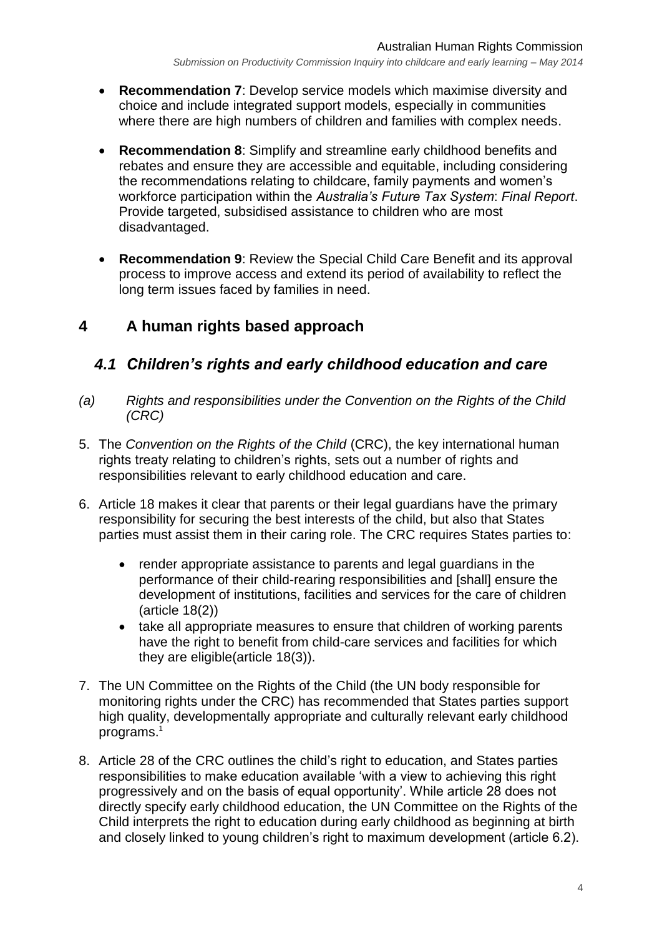- **Recommendation 7**: Develop service models which maximise diversity and choice and include integrated support models, especially in communities where there are high numbers of children and families with complex needs.
- **Recommendation 8**: Simplify and streamline early childhood benefits and rebates and ensure they are accessible and equitable, including considering the recommendations relating to childcare, family payments and women's workforce participation within the *Australia's Future Tax System*: *Final Report*. Provide targeted, subsidised assistance to children who are most disadvantaged.
- **Recommendation 9**: Review the Special Child Care Benefit and its approval process to improve access and extend its period of availability to reflect the long term issues faced by families in need.

## <span id="page-3-0"></span>**4 A human rights based approach**

## <span id="page-3-1"></span>*4.1 Children's rights and early childhood education and care*

- <span id="page-3-2"></span>*(a) Rights and responsibilities under the Convention on the Rights of the Child (CRC)*
- 5. The *Convention on the Rights of the Child* (CRC), the key international human rights treaty relating to children's rights, sets out a number of rights and responsibilities relevant to early childhood education and care.
- 6. Article 18 makes it clear that parents or their legal guardians have the primary responsibility for securing the best interests of the child, but also that States parties must assist them in their caring role. The CRC requires States parties to:
	- render appropriate assistance to parents and legal guardians in the performance of their child-rearing responsibilities and [shall] ensure the development of institutions, facilities and services for the care of children (article 18(2))
	- take all appropriate measures to ensure that children of working parents have the right to benefit from child-care services and facilities for which they are eligible(article 18(3)).
- 7. The UN Committee on the Rights of the Child (the UN body responsible for monitoring rights under the CRC) has recommended that States parties support high quality, developmentally appropriate and culturally relevant early childhood programs. $1$
- 8. Article 28 of the CRC outlines the child's right to education, and States parties responsibilities to make education available 'with a view to achieving this right progressively and on the basis of equal opportunity'. While article 28 does not directly specify early childhood education, the UN Committee on the Rights of the Child interprets the right to education during early childhood as beginning at birth and closely linked to young children's right to maximum development (article 6.2).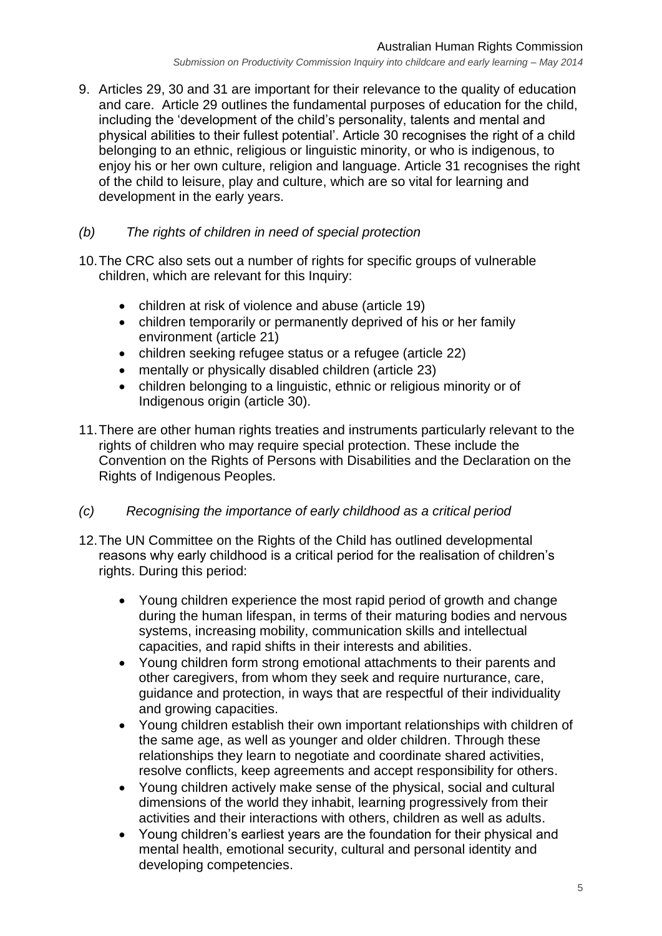9. Articles 29, 30 and 31 are important for their relevance to the quality of education and care. Article 29 outlines the fundamental purposes of education for the child, including the 'development of the child's personality, talents and mental and physical abilities to their fullest potential'. Article 30 recognises the right of a child belonging to an ethnic, religious or linguistic minority, or who is indigenous, to enjoy his or her own culture, religion and language. Article 31 recognises the right of the child to leisure, play and culture, which are so vital for learning and development in the early years.

#### <span id="page-4-0"></span>*(b) The rights of children in need of special protection*

- 10.The CRC also sets out a number of rights for specific groups of vulnerable children, which are relevant for this Inquiry:
	- children at risk of violence and abuse (article 19)
	- children temporarily or permanently deprived of his or her family environment (article 21)
	- children seeking refugee status or a refugee (article 22)
	- mentally or physically disabled children (article 23)
	- children belonging to a linguistic, ethnic or religious minority or of Indigenous origin (article 30).
- 11.There are other human rights treaties and instruments particularly relevant to the rights of children who may require special protection. These include the Convention on the Rights of Persons with Disabilities and the Declaration on the Rights of Indigenous Peoples.

#### <span id="page-4-1"></span>*(c) Recognising the importance of early childhood as a critical period*

- 12.The UN Committee on the Rights of the Child has outlined developmental reasons why early childhood is a critical period for the realisation of children's rights. During this period:
	- Young children experience the most rapid period of growth and change during the human lifespan, in terms of their maturing bodies and nervous systems, increasing mobility, communication skills and intellectual capacities, and rapid shifts in their interests and abilities.
	- Young children form strong emotional attachments to their parents and other caregivers, from whom they seek and require nurturance, care, guidance and protection, in ways that are respectful of their individuality and growing capacities.
	- Young children establish their own important relationships with children of the same age, as well as younger and older children. Through these relationships they learn to negotiate and coordinate shared activities, resolve conflicts, keep agreements and accept responsibility for others.
	- Young children actively make sense of the physical, social and cultural dimensions of the world they inhabit, learning progressively from their activities and their interactions with others, children as well as adults.
	- Young children's earliest years are the foundation for their physical and mental health, emotional security, cultural and personal identity and developing competencies.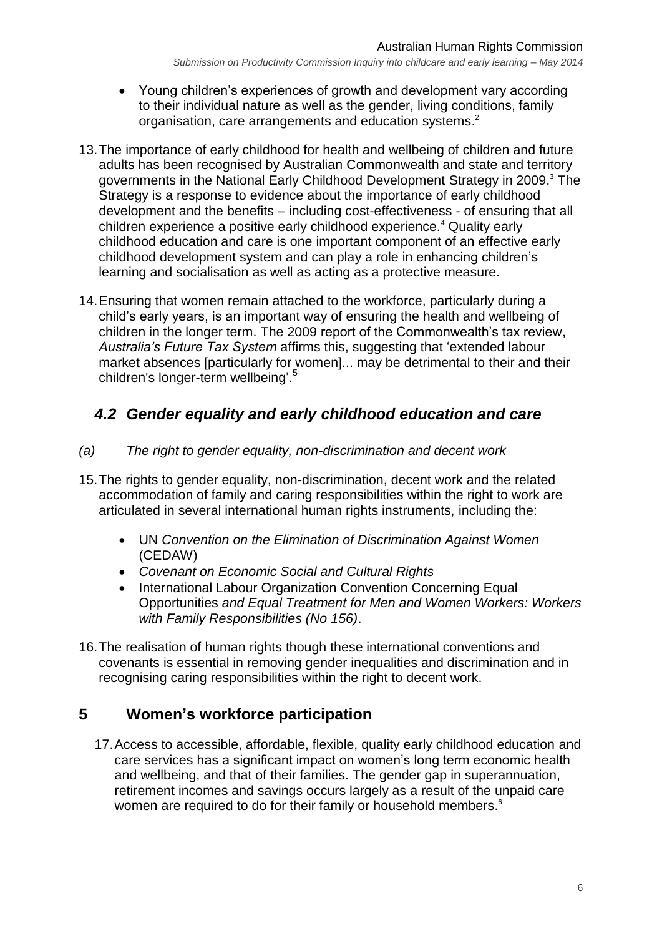- Young children's experiences of growth and development vary according to their individual nature as well as the gender, living conditions, family organisation, care arrangements and education systems.<sup>2</sup>
- 13.The importance of early childhood for health and wellbeing of children and future adults has been recognised by Australian Commonwealth and state and territory governments in the National Early Childhood Development Strategy in 2009.<sup>3</sup> The Strategy is a response to evidence about the importance of early childhood development and the benefits – including cost-effectiveness - of ensuring that all children experience a positive early childhood experience.<sup>4</sup> Quality early childhood education and care is one important component of an effective early childhood development system and can play a role in enhancing children's learning and socialisation as well as acting as a protective measure.
- 14.Ensuring that women remain attached to the workforce, particularly during a child's early years, is an important way of ensuring the health and wellbeing of children in the longer term. The 2009 report of the Commonwealth's tax review, *Australia's Future Tax System* affirms this, suggesting that 'extended labour market absences [particularly for women]... may be detrimental to their and their children's longer-term wellbeing'.<sup>5</sup>

## <span id="page-5-0"></span>*4.2 Gender equality and early childhood education and care*

#### <span id="page-5-1"></span>*(a) The right to gender equality, non-discrimination and decent work*

- 15.The rights to gender equality, non-discrimination, decent work and the related accommodation of family and caring responsibilities within the right to work are articulated in several international human rights instruments, including the:
	- UN *Convention on the Elimination of Discrimination Against Women* (CEDAW)
	- *Covenant on Economic Social and Cultural Rights*
	- International Labour Organization Convention Concerning Equal Opportunities *and Equal Treatment for Men and Women Workers: Workers with Family Responsibilities (No 156)*.
- 16.The realisation of human rights though these international conventions and covenants is essential in removing gender inequalities and discrimination and in recognising caring responsibilities within the right to decent work.

## **5 Women's workforce participation**

17.Access to accessible, affordable, flexible, quality early childhood education and care services has a significant impact on women's long term economic health and wellbeing, and that of their families. The gender gap in superannuation, retirement incomes and savings occurs largely as a result of the unpaid care women are required to do for their family or household members.<sup>6</sup>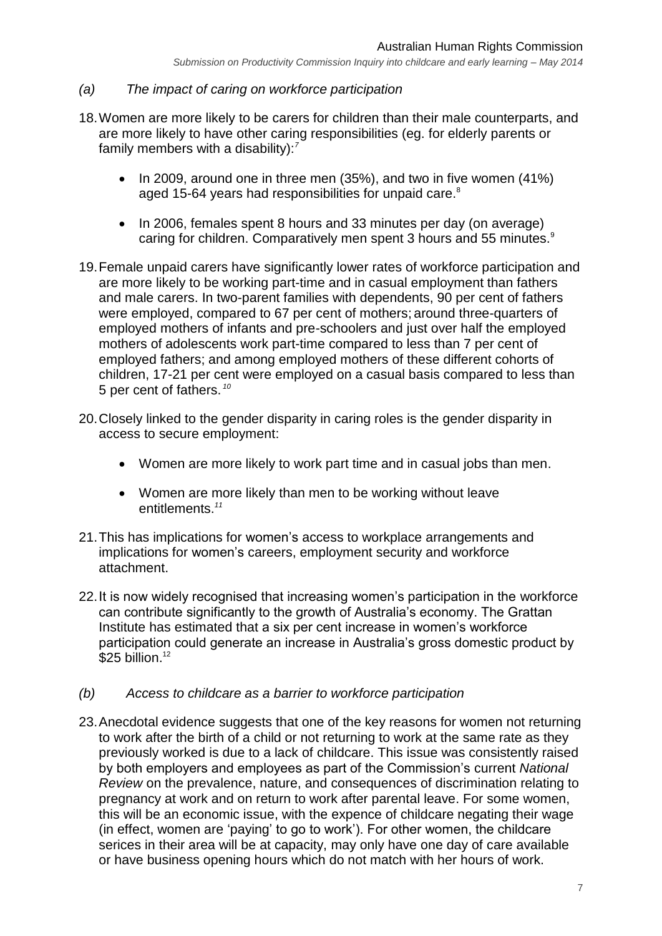- *(a) The impact of caring on workforce participation*
- 18.Women are more likely to be carers for children than their male counterparts, and are more likely to have other caring responsibilities (eg. for elderly parents or family members with a disability):*<sup>7</sup>*
	- $\bullet$  In 2009, around one in three men (35%), and two in five women (41%) aged 15-64 years had responsibilities for unpaid care.<sup>8</sup>
	- In 2006, females spent 8 hours and 33 minutes per day (on average) caring for children. Comparatively men spent 3 hours and 55 minutes.<sup>9</sup>
- 19.Female unpaid carers have significantly lower rates of workforce participation and are more likely to be working part-time and in casual employment than fathers and male carers. In two-parent families with dependents, 90 per cent of fathers were employed, compared to 67 per cent of mothers; around three-quarters of employed mothers of infants and pre-schoolers and just over half the employed mothers of adolescents work part-time compared to less than 7 per cent of employed fathers; and among employed mothers of these different cohorts of children, 17-21 per cent were employed on a casual basis compared to less than 5 per cent of fathers. *<sup>10</sup>*
- 20.Closely linked to the gender disparity in caring roles is the gender disparity in access to secure employment:
	- Women are more likely to work part time and in casual jobs than men.
	- Women are more likely than men to be working without leave entitlements.*<sup>11</sup>*
- 21.This has implications for women's access to workplace arrangements and implications for women's careers, employment security and workforce attachment.
- 22.It is now widely recognised that increasing women's participation in the workforce can contribute significantly to the growth of Australia's economy. The Grattan Institute has estimated that a six per cent increase in women's workforce participation could generate an increase in Australia's gross domestic product by  $$25$  billion.<sup>12</sup>

#### *(b) Access to childcare as a barrier to workforce participation*

23.Anecdotal evidence suggests that one of the key reasons for women not returning to work after the birth of a child or not returning to work at the same rate as they previously worked is due to a lack of childcare. This issue was consistently raised by both employers and employees as part of the Commission's current *National Review* on the prevalence, nature, and consequences of discrimination relating to pregnancy at work and on return to work after parental leave. For some women, this will be an economic issue, with the expence of childcare negating their wage (in effect, women are 'paying' to go to work'). For other women, the childcare serices in their area will be at capacity, may only have one day of care available or have business opening hours which do not match with her hours of work.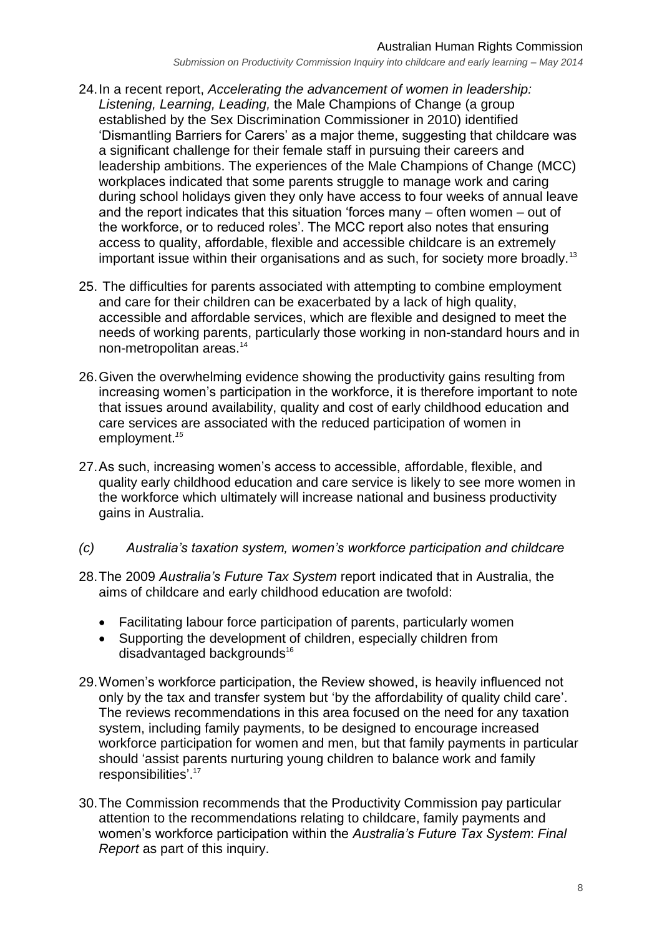*Submission on Productivity Commission Inquiry into childcare and early learning – May 2014*

- 24.In a recent report, *Accelerating the advancement of women in leadership: Listening, Learning, Leading,* the Male Champions of Change (a group established by the Sex Discrimination Commissioner in 2010) identified 'Dismantling Barriers for Carers' as a major theme, suggesting that childcare was a significant challenge for their female staff in pursuing their careers and leadership ambitions. The experiences of the Male Champions of Change (MCC) workplaces indicated that some parents struggle to manage work and caring during school holidays given they only have access to four weeks of annual leave and the report indicates that this situation 'forces many – often women – out of the workforce, or to reduced roles'. The MCC report also notes that ensuring access to quality, affordable, flexible and accessible childcare is an extremely important issue within their organisations and as such, for society more broadly.<sup>13</sup>
- 25. The difficulties for parents associated with attempting to combine employment and care for their children can be exacerbated by a lack of high quality, accessible and affordable services, which are flexible and designed to meet the needs of working parents, particularly those working in non-standard hours and in non-metropolitan areas.<sup>14</sup>
- 26.Given the overwhelming evidence showing the productivity gains resulting from increasing women's participation in the workforce, it is therefore important to note that issues around availability, quality and cost of early childhood education and care services are associated with the reduced participation of women in employment.*<sup>15</sup>*
- 27.As such, increasing women's access to accessible, affordable, flexible, and quality early childhood education and care service is likely to see more women in the workforce which ultimately will increase national and business productivity gains in Australia.
- *(c) Australia's taxation system, women's workforce participation and childcare*
- 28.The 2009 *Australia's Future Tax System* report indicated that in Australia, the aims of childcare and early childhood education are twofold:
	- Facilitating labour force participation of parents, particularly women
	- Supporting the development of children, especially children from disadvantaged backgrounds<sup>16</sup>
- 29.Women's workforce participation, the Review showed, is heavily influenced not only by the tax and transfer system but 'by the affordability of quality child care'. The reviews recommendations in this area focused on the need for any taxation system, including family payments, to be designed to encourage increased workforce participation for women and men, but that family payments in particular should 'assist parents nurturing young children to balance work and family responsibilities'. 17
- <span id="page-7-0"></span>30.The Commission recommends that the Productivity Commission pay particular attention to the recommendations relating to childcare, family payments and women's workforce participation within the *Australia's Future Tax System*: *Final Report* as part of this inquiry.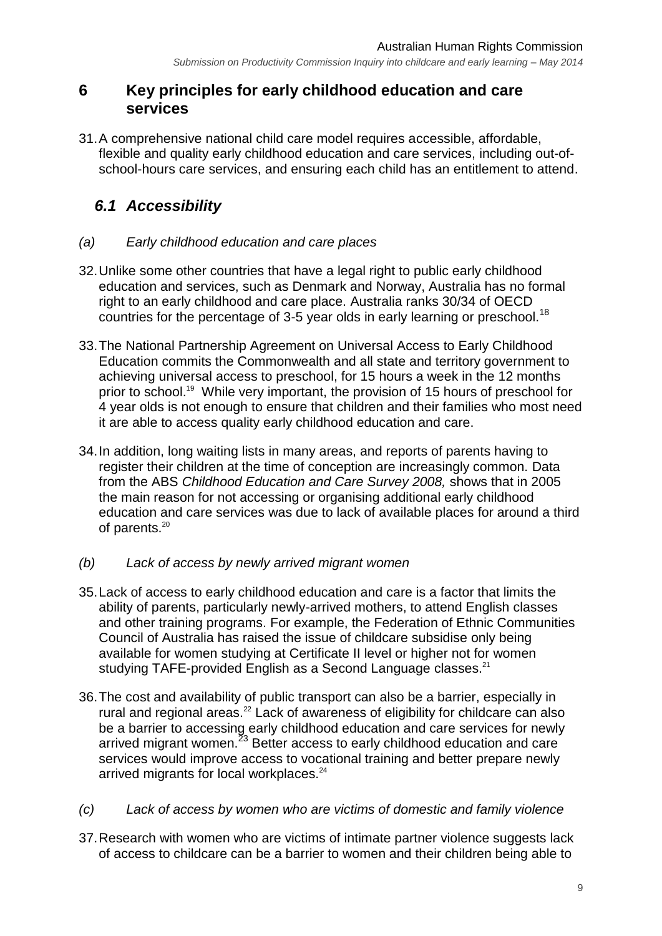### **6 Key principles for early childhood education and care services**

31.A comprehensive national child care model requires accessible, affordable, flexible and quality early childhood education and care services, including out-ofschool-hours care services, and ensuring each child has an entitlement to attend.

# <span id="page-8-0"></span>*6.1 Accessibility*

#### <span id="page-8-1"></span>*(a) Early childhood education and care places*

- 32.Unlike some other countries that have a legal right to public early childhood education and services, such as Denmark and Norway, Australia has no formal right to an early childhood and care place. Australia ranks 30/34 of OECD countries for the percentage of 3-5 year olds in early learning or preschool.<sup>18</sup>
- 33.The National Partnership Agreement on Universal Access to Early Childhood Education commits the Commonwealth and all state and territory government to achieving universal access to preschool, for 15 hours a week in the 12 months prior to school.<sup>19</sup> While very important, the provision of 15 hours of preschool for 4 year olds is not enough to ensure that children and their families who most need it are able to access quality early childhood education and care.
- 34.In addition, long waiting lists in many areas, and reports of parents having to register their children at the time of conception are increasingly common. Data from the ABS *Childhood Education and Care Survey 2008,* shows that in 2005 the main reason for not accessing or organising additional early childhood education and care services was due to lack of available places for around a third of parents.<sup>20</sup>
- <span id="page-8-2"></span>*(b) Lack of access by newly arrived migrant women*
- 35.Lack of access to early childhood education and care is a factor that limits the ability of parents, particularly newly-arrived mothers, to attend English classes and other training programs. For example, the Federation of Ethnic Communities Council of Australia has raised the issue of childcare subsidise only being available for women studying at Certificate II level or higher not for women studying TAFE-provided English as a Second Language classes.<sup>21</sup>
- 36.The cost and availability of public transport can also be a barrier, especially in rural and regional areas.<sup>22</sup> Lack of awareness of eligibility for childcare can also be a barrier to accessing early childhood education and care services for newly arrived migrant women.<sup>23</sup> Better access to early childhood education and care services would improve access to vocational training and better prepare newly arrived migrants for local workplaces.<sup>24</sup>
- <span id="page-8-3"></span>*(c) Lack of access by women who are victims of domestic and family violence*
- 37.Research with women who are victims of intimate partner violence suggests lack of access to childcare can be a barrier to women and their children being able to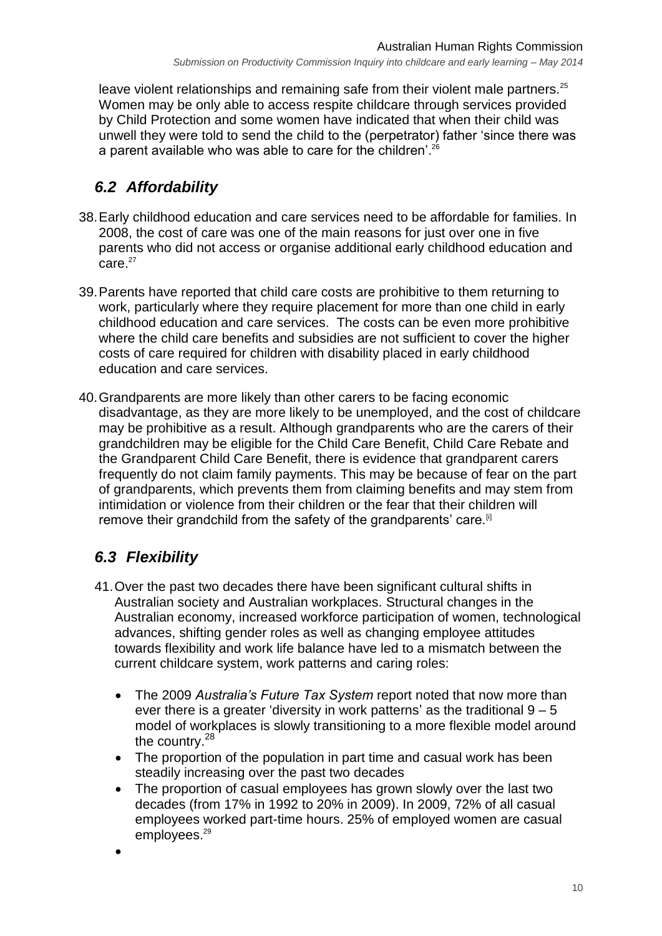leave violent relationships and remaining safe from their violent male partners.<sup>25</sup> Women may be only able to access respite childcare through services provided by Child Protection and some women have indicated that when their child was unwell they were told to send the child to the (perpetrator) father 'since there was a parent available who was able to care for the children'.<sup>26</sup>

# <span id="page-9-0"></span>*6.2 Affordability*

- 38.Early childhood education and care services need to be affordable for families. In 2008, the cost of care was one of the main reasons for just over one in five parents who did not access or organise additional early childhood education and  $c$ are. $27$
- 39.Parents have reported that child care costs are prohibitive to them returning to work, particularly where they require placement for more than one child in early childhood education and care services. The costs can be even more prohibitive where the child care benefits and subsidies are not sufficient to cover the higher costs of care required for children with disability placed in early childhood education and care services.
- 40.Grandparents are more likely than other carers to be facing economic disadvantage, as they are more likely to be unemployed, and the cost of childcare may be prohibitive as a result. Although grandparents who are the carers of their grandchildren may be eligible for the Child Care Benefit, Child Care Rebate and the Grandparent Child Care Benefit, there is evidence that grandparent carers frequently do not claim family payments. This may be because of fear on the part of grandparents, which prevents them from claiming benefits and may stem from intimidation or violence from their children or the fear that their children will remove their grandchild from the safety of the grandparents' care.<sup>[i]</sup>

## <span id="page-9-1"></span>*6.3 Flexibility*

- 41.Over the past two decades there have been significant cultural shifts in Australian society and Australian workplaces. Structural changes in the Australian economy, increased workforce participation of women, technological advances, shifting gender roles as well as changing employee attitudes towards flexibility and work life balance have led to a mismatch between the current childcare system, work patterns and caring roles:
	- The 2009 *Australia's Future Tax System* report noted that now more than ever there is a greater 'diversity in work patterns' as the traditional 9 – 5 model of workplaces is slowly transitioning to a more flexible model around the country.<sup>28</sup>
	- The proportion of the population in part time and casual work has been steadily increasing over the past two decades
	- The proportion of casual employees has grown slowly over the last two decades (from 17% in 1992 to 20% in 2009). In 2009, 72% of all casual employees worked part-time hours. 25% of employed women are casual employees. 29
	- $\bullet$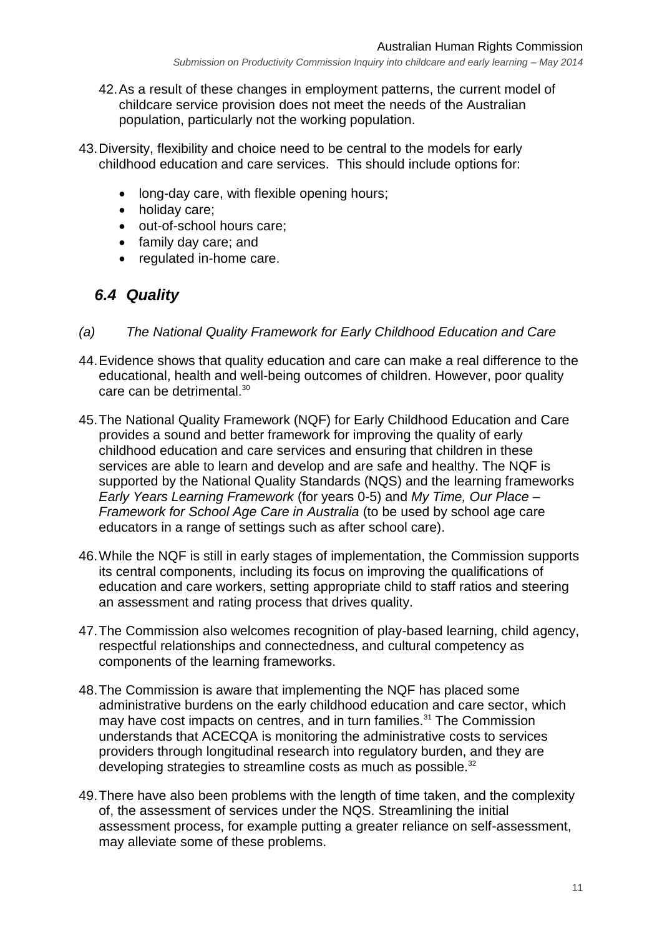- 42.As a result of these changes in employment patterns, the current model of childcare service provision does not meet the needs of the Australian population, particularly not the working population.
- 43.Diversity, flexibility and choice need to be central to the models for early childhood education and care services. This should include options for:
	- long-day care, with flexible opening hours;
	- holiday care:
	- out-of-school hours care:
	- family day care; and
	- regulated in-home care.

## <span id="page-10-0"></span>*6.4 Quality*

- <span id="page-10-1"></span>*(a) The National Quality Framework for Early Childhood Education and Care*
- 44.Evidence shows that quality education and care can make a real difference to the educational, health and well-being outcomes of children. However, poor quality care can be detrimental.<sup>30</sup>
- 45.The National Quality Framework (NQF) for Early Childhood Education and Care provides a sound and better framework for improving the quality of early childhood education and care services and ensuring that children in these services are able to learn and develop and are safe and healthy. The NQF is supported by the National Quality Standards (NQS) and the learning frameworks *Early Years Learning Framework* (for years 0-5) and *My Time, Our Place – Framework for School Age Care in Australia* (to be used by school age care educators in a range of settings such as after school care).
- 46.While the NQF is still in early stages of implementation, the Commission supports its central components, including its focus on improving the qualifications of education and care workers, setting appropriate child to staff ratios and steering an assessment and rating process that drives quality.
- 47.The Commission also welcomes recognition of play-based learning, child agency, respectful relationships and connectedness, and cultural competency as components of the learning frameworks.
- 48.The Commission is aware that implementing the NQF has placed some administrative burdens on the early childhood education and care sector, which may have cost impacts on centres, and in turn families.<sup>31</sup> The Commission understands that ACECQA is monitoring the administrative costs to services providers through longitudinal research into regulatory burden, and they are developing strategies to streamline costs as much as possible.<sup>32</sup>
- 49.There have also been problems with the length of time taken, and the complexity of, the assessment of services under the NQS. Streamlining the initial assessment process, for example putting a greater reliance on self-assessment, may alleviate some of these problems.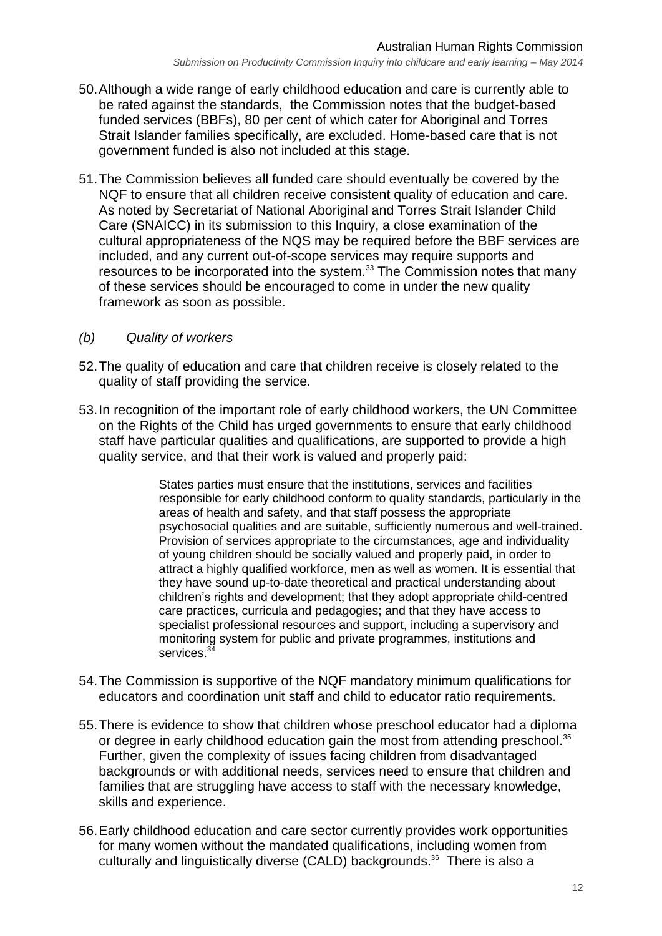- 50.Although a wide range of early childhood education and care is currently able to be rated against the standards, the Commission notes that the budget-based funded services (BBFs), 80 per cent of which cater for Aboriginal and Torres Strait Islander families specifically, are excluded. Home-based care that is not government funded is also not included at this stage.
- 51.The Commission believes all funded care should eventually be covered by the NQF to ensure that all children receive consistent quality of education and care. As noted by Secretariat of National Aboriginal and Torres Strait Islander Child Care (SNAICC) in its submission to this Inquiry, a close examination of the cultural appropriateness of the NQS may be required before the BBF services are included, and any current out-of-scope services may require supports and resources to be incorporated into the system.<sup>33</sup> The Commission notes that many of these services should be encouraged to come in under the new quality framework as soon as possible.

#### <span id="page-11-0"></span>*(b) Quality of workers*

- 52.The quality of education and care that children receive is closely related to the quality of staff providing the service.
- 53.In recognition of the important role of early childhood workers, the UN Committee on the Rights of the Child has urged governments to ensure that early childhood staff have particular qualities and qualifications, are supported to provide a high quality service, and that their work is valued and properly paid:

States parties must ensure that the institutions, services and facilities responsible for early childhood conform to quality standards, particularly in the areas of health and safety, and that staff possess the appropriate psychosocial qualities and are suitable, sufficiently numerous and well-trained. Provision of services appropriate to the circumstances, age and individuality of young children should be socially valued and properly paid, in order to attract a highly qualified workforce, men as well as women. It is essential that they have sound up-to-date theoretical and practical understanding about children's rights and development; that they adopt appropriate child-centred care practices, curricula and pedagogies; and that they have access to specialist professional resources and support, including a supervisory and monitoring system for public and private programmes, institutions and services.<sup>34</sup>

- 54.The Commission is supportive of the NQF mandatory minimum qualifications for educators and coordination unit staff and child to educator ratio requirements.
- 55.There is evidence to show that children whose preschool educator had a diploma or degree in early childhood education gain the most from attending preschool.<sup>35</sup> Further, given the complexity of issues facing children from disadvantaged backgrounds or with additional needs, services need to ensure that children and families that are struggling have access to staff with the necessary knowledge, skills and experience.
- 56.Early childhood education and care sector currently provides work opportunities for many women without the mandated qualifications, including women from culturally and linguistically diverse (CALD) backgrounds.<sup>36</sup> There is also a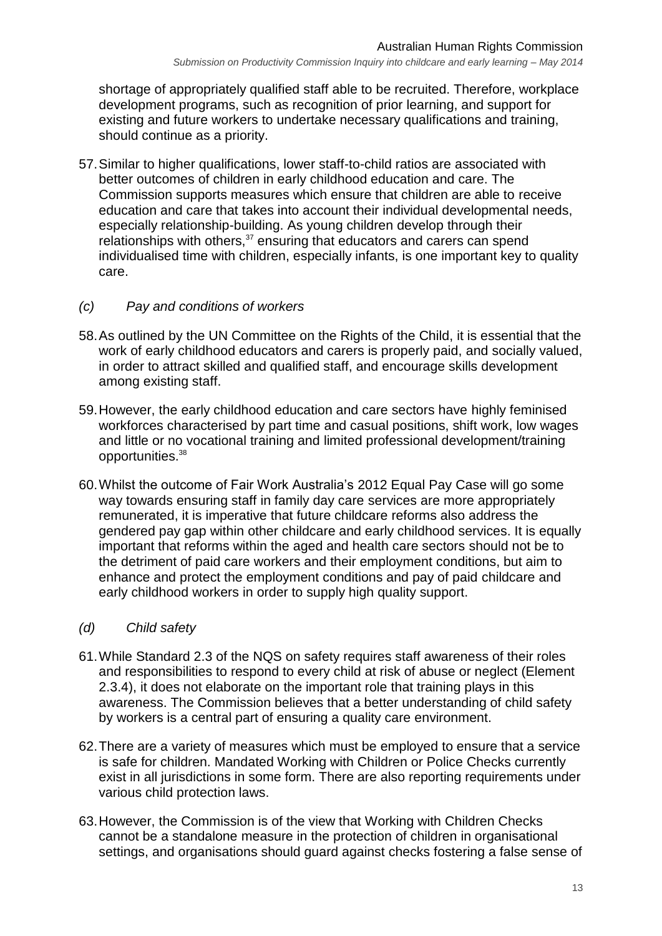shortage of appropriately qualified staff able to be recruited. Therefore, workplace development programs, such as recognition of prior learning, and support for existing and future workers to undertake necessary qualifications and training, should continue as a priority.

57.Similar to higher qualifications, lower staff-to-child ratios are associated with better outcomes of children in early childhood education and care. The Commission supports measures which ensure that children are able to receive education and care that takes into account their individual developmental needs, especially relationship-building. As young children develop through their relationships with others,<sup>37</sup> ensuring that educators and carers can spend individualised time with children, especially infants, is one important key to quality care.

#### <span id="page-12-0"></span>*(c) Pay and conditions of workers*

- 58.As outlined by the UN Committee on the Rights of the Child, it is essential that the work of early childhood educators and carers is properly paid, and socially valued, in order to attract skilled and qualified staff, and encourage skills development among existing staff.
- 59.However, the early childhood education and care sectors have highly feminised workforces characterised by part time and casual positions, shift work, low wages and little or no vocational training and limited professional development/training opportunities. 38
- 60.Whilst the outcome of Fair Work Australia's 2012 Equal Pay Case will go some way towards ensuring staff in family day care services are more appropriately remunerated, it is imperative that future childcare reforms also address the gendered pay gap within other childcare and early childhood services. It is equally important that reforms within the aged and health care sectors should not be to the detriment of paid care workers and their employment conditions, but aim to enhance and protect the employment conditions and pay of paid childcare and early childhood workers in order to supply high quality support.

#### <span id="page-12-1"></span>*(d) Child safety*

- 61.While Standard 2.3 of the NQS on safety requires staff awareness of their roles and responsibilities to respond to every child at risk of abuse or neglect (Element 2.3.4), it does not elaborate on the important role that training plays in this awareness. The Commission believes that a better understanding of child safety by workers is a central part of ensuring a quality care environment.
- 62.There are a variety of measures which must be employed to ensure that a service is safe for children. Mandated Working with Children or Police Checks currently exist in all jurisdictions in some form. There are also reporting requirements under various child protection laws.
- 63.However, the Commission is of the view that Working with Children Checks cannot be a standalone measure in the protection of children in organisational settings, and organisations should guard against checks fostering a false sense of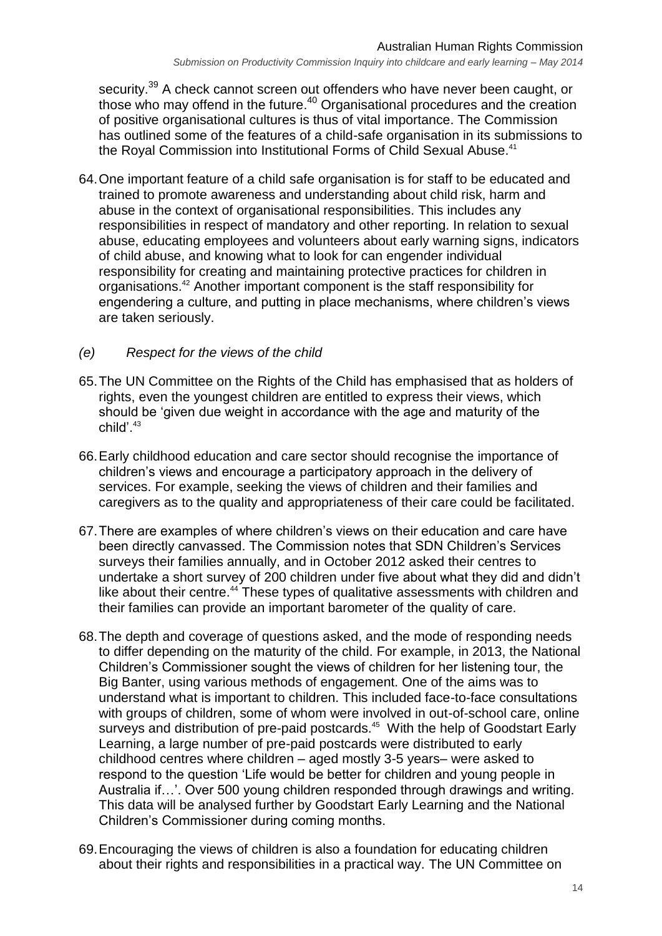security.<sup>39</sup> A check cannot screen out offenders who have never been caught, or those who may offend in the future.<sup>40</sup> Organisational procedures and the creation of positive organisational cultures is thus of vital importance. The Commission has outlined some of the features of a child-safe organisation in its submissions to the Royal Commission into Institutional Forms of Child Sexual Abuse.<sup>41</sup>

64.One important feature of a child safe organisation is for staff to be educated and trained to promote awareness and understanding about child risk, harm and abuse in the context of organisational responsibilities. This includes any responsibilities in respect of mandatory and other reporting. In relation to sexual abuse, educating employees and volunteers about early warning signs, indicators of child abuse, and knowing what to look for can engender individual responsibility for creating and maintaining protective practices for children in organisations.<sup>42</sup> Another important component is the staff responsibility for engendering a culture, and putting in place mechanisms, where children's views are taken seriously.

#### <span id="page-13-0"></span>*(e) Respect for the views of the child*

- 65.The UN Committee on the Rights of the Child has emphasised that as holders of rights, even the youngest children are entitled to express their views, which should be 'given due weight in accordance with the age and maturity of the child'.<sup>43</sup>
- 66.Early childhood education and care sector should recognise the importance of children's views and encourage a participatory approach in the delivery of services. For example, seeking the views of children and their families and caregivers as to the quality and appropriateness of their care could be facilitated.
- 67.There are examples of where children's views on their education and care have been directly canvassed. The Commission notes that SDN Children's Services surveys their families annually, and in October 2012 asked their centres to undertake a short survey of 200 children under five about what they did and didn't like about their centre.<sup>44</sup> These types of qualitative assessments with children and their families can provide an important barometer of the quality of care.
- 68.The depth and coverage of questions asked, and the mode of responding needs to differ depending on the maturity of the child. For example, in 2013, the National Children's Commissioner sought the views of children for her listening tour, the Big Banter, using various methods of engagement. One of the aims was to understand what is important to children. This included face-to-face consultations with groups of children, some of whom were involved in out-of-school care, online surveys and distribution of pre-paid postcards.<sup>45</sup> With the help of Goodstart Early Learning, a large number of pre-paid postcards were distributed to early childhood centres where children – aged mostly 3-5 years– were asked to respond to the question 'Life would be better for children and young people in Australia if…'. Over 500 young children responded through drawings and writing. This data will be analysed further by Goodstart Early Learning and the National Children's Commissioner during coming months.
- 69.Encouraging the views of children is also a foundation for educating children about their rights and responsibilities in a practical way. The UN Committee on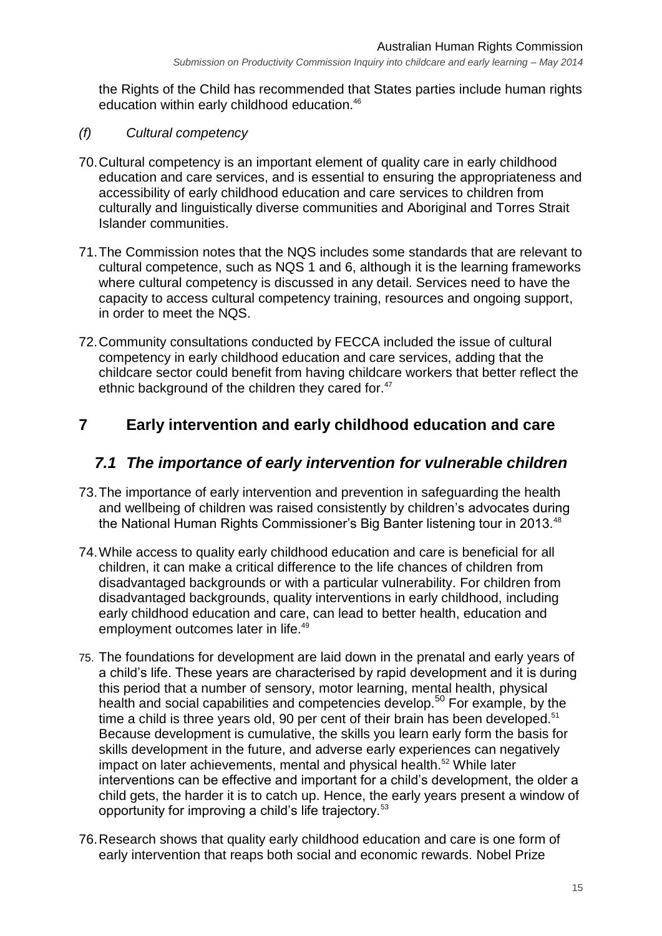the Rights of the Child has recommended that States parties include human rights education within early childhood education.<sup>46</sup>

- <span id="page-14-0"></span>*(f) Cultural competency*
- 70.Cultural competency is an important element of quality care in early childhood education and care services, and is essential to ensuring the appropriateness and accessibility of early childhood education and care services to children from culturally and linguistically diverse communities and Aboriginal and Torres Strait Islander communities.
- 71.The Commission notes that the NQS includes some standards that are relevant to cultural competence, such as NQS 1 and 6, although it is the learning frameworks where cultural competency is discussed in any detail. Services need to have the capacity to access cultural competency training, resources and ongoing support, in order to meet the NQS.
- 72.Community consultations conducted by FECCA included the issue of cultural competency in early childhood education and care services, adding that the childcare sector could benefit from having childcare workers that better reflect the ethnic background of the children they cared for.<sup>47</sup>

## <span id="page-14-1"></span>**7 Early intervention and early childhood education and care**

#### <span id="page-14-2"></span>*7.1 The importance of early intervention for vulnerable children*

- 73.The importance of early intervention and prevention in safeguarding the health and wellbeing of children was raised consistently by children's advocates during the National Human Rights Commissioner's Big Banter listening tour in 2013.<sup>48</sup>
- 74.While access to quality early childhood education and care is beneficial for all children, it can make a critical difference to the life chances of children from disadvantaged backgrounds or with a particular vulnerability. For children from disadvantaged backgrounds, quality interventions in early childhood, including early childhood education and care, can lead to better health, education and employment outcomes later in life.<sup>49</sup>
- 75. The foundations for development are laid down in the prenatal and early years of a child's life. These years are characterised by rapid development and it is during this period that a number of sensory, motor learning, mental health, physical health and social capabilities and competencies develop.<sup>50</sup> For example, by the time a child is three years old, 90 per cent of their brain has been developed.<sup>51</sup> Because development is cumulative, the skills you learn early form the basis for skills development in the future, and adverse early experiences can negatively impact on later achievements, mental and physical health.<sup>52</sup> While later interventions can be effective and important for a child's development, the older a child gets, the harder it is to catch up. Hence, the early years present a window of opportunity for improving a child's life trajectory.<sup>53</sup>
- 76.Research shows that quality early childhood education and care is one form of early intervention that reaps both social and economic rewards. Nobel Prize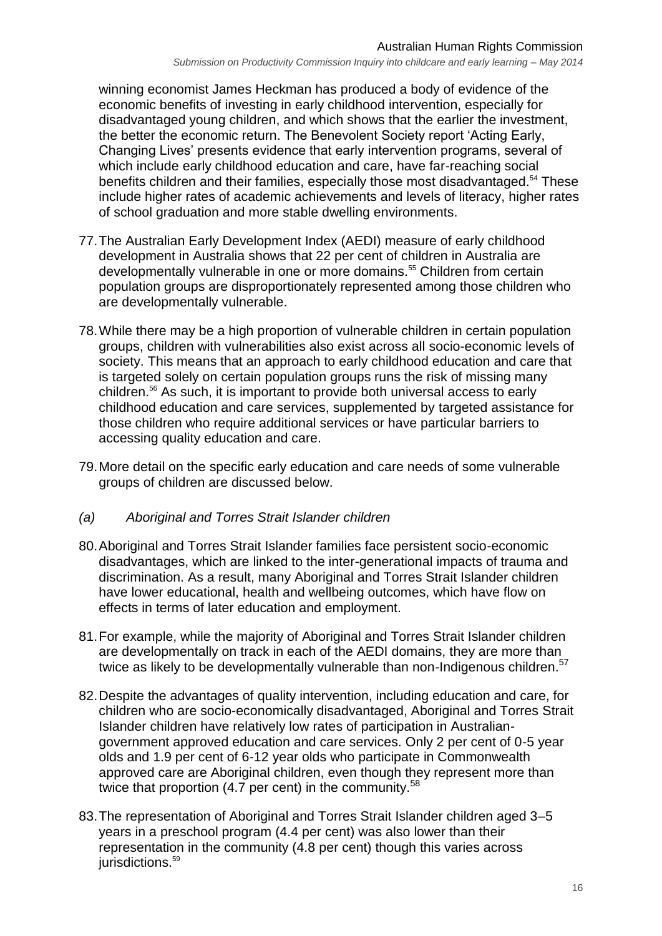winning economist James Heckman has produced a body of evidence of the economic benefits of investing in early childhood intervention, especially for disadvantaged young children, and which shows that the earlier the investment, the better the economic return. The Benevolent Society report 'Acting Early, Changing Lives' presents evidence that early intervention programs, several of which include early childhood education and care, have far-reaching social benefits children and their families, especially those most disadvantaged.<sup>54</sup> These include higher rates of academic achievements and levels of literacy, higher rates of school graduation and more stable dwelling environments.

- 77.The Australian Early Development Index (AEDI) measure of early childhood development in Australia shows that 22 per cent of children in Australia are developmentally vulnerable in one or more domains.<sup>55</sup> Children from certain population groups are disproportionately represented among those children who are developmentally vulnerable.
- 78.While there may be a high proportion of vulnerable children in certain population groups, children with vulnerabilities also exist across all socio-economic levels of society. This means that an approach to early childhood education and care that is targeted solely on certain population groups runs the risk of missing many children.<sup>56</sup> As such, it is important to provide both universal access to early childhood education and care services, supplemented by targeted assistance for those children who require additional services or have particular barriers to accessing quality education and care.
- 79.More detail on the specific early education and care needs of some vulnerable groups of children are discussed below.

#### <span id="page-15-0"></span>*(a) Aboriginal and Torres Strait Islander children*

- 80.Aboriginal and Torres Strait Islander families face persistent socio-economic disadvantages, which are linked to the inter-generational impacts of trauma and discrimination. As a result, many Aboriginal and Torres Strait Islander children have lower educational, health and wellbeing outcomes, which have flow on effects in terms of later education and employment.
- 81.For example, while the majority of Aboriginal and Torres Strait Islander children are developmentally on track in each of the AEDI domains, they are more than twice as likely to be developmentally vulnerable than non-Indigenous children.<sup>57</sup>
- 82.Despite the advantages of quality intervention, including education and care, for children who are socio-economically disadvantaged, Aboriginal and Torres Strait Islander children have relatively low rates of participation in Australiangovernment approved education and care services. Only 2 per cent of 0-5 year olds and 1.9 per cent of 6-12 year olds who participate in Commonwealth approved care are Aboriginal children, even though they represent more than twice that proportion (4.7 per cent) in the community.<sup>58</sup>
- 83.The representation of Aboriginal and Torres Strait Islander children aged 3–5 years in a preschool program (4.4 per cent) was also lower than their representation in the community (4.8 per cent) though this varies across jurisdictions.<sup>59</sup>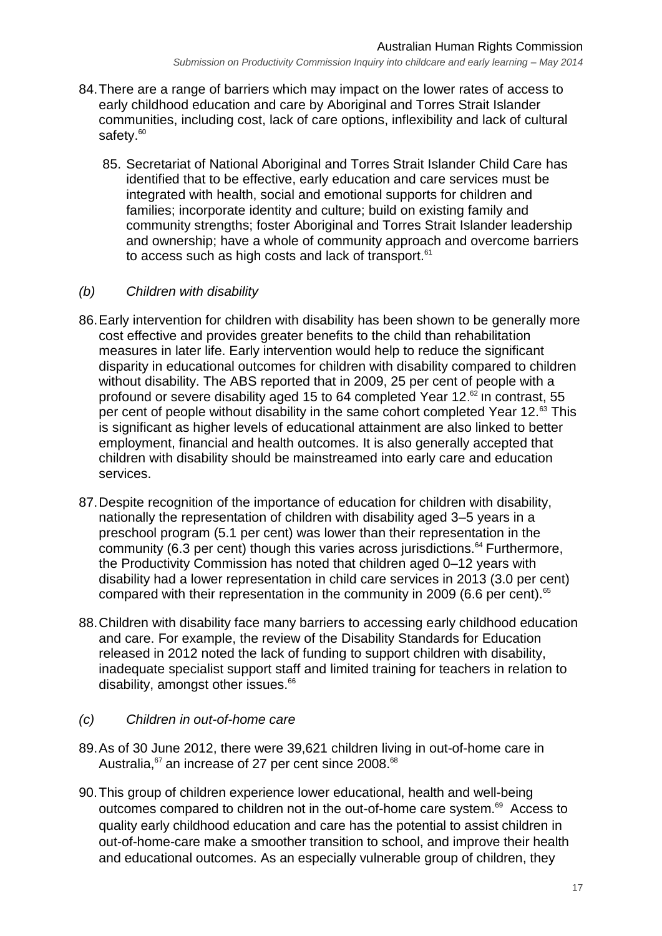- 84.There are a range of barriers which may impact on the lower rates of access to early childhood education and care by Aboriginal and Torres Strait Islander communities, including cost, lack of care options, inflexibility and lack of cultural safety.<sup>60</sup>
	- 85. Secretariat of National Aboriginal and Torres Strait Islander Child Care has identified that to be effective, early education and care services must be integrated with health, social and emotional supports for children and families; incorporate identity and culture; build on existing family and community strengths; foster Aboriginal and Torres Strait Islander leadership and ownership; have a whole of community approach and overcome barriers to access such as high costs and lack of transport.<sup>61</sup>

#### <span id="page-16-0"></span>*(b) Children with disability*

- 86.Early intervention for children with disability has been shown to be generally more cost effective and provides greater benefits to the child than rehabilitation measures in later life. Early intervention would help to reduce the significant disparity in educational outcomes for children with disability compared to children without disability. The ABS reported that in 2009, 25 per cent of people with a profound or severe disability aged 15 to 64 completed Year 12. <sup>62</sup> In contrast, 55 per cent of people without disability in the same cohort completed Year 12.<sup>63</sup> This is significant as higher levels of educational attainment are also linked to better employment, financial and health outcomes. It is also generally accepted that children with disability should be mainstreamed into early care and education services.
- 87.Despite recognition of the importance of education for children with disability, nationally the representation of children with disability aged 3–5 years in a preschool program (5.1 per cent) was lower than their representation in the community (6.3 per cent) though this varies across jurisdictions.<sup>64</sup> Furthermore, the Productivity Commission has noted that children aged 0–12 years with disability had a lower representation in child care services in 2013 (3.0 per cent) compared with their representation in the community in 2009 (6.6 per cent).<sup>65</sup>
- 88.Children with disability face many barriers to accessing early childhood education and care. For example, the review of the Disability Standards for Education released in 2012 noted the lack of funding to support children with disability, inadequate specialist support staff and limited training for teachers in relation to disability, amongst other issues.<sup>66</sup>

#### <span id="page-16-1"></span>*(c) Children in out-of-home care*

- 89.As of 30 June 2012, there were 39,621 children living in out-of-home care in Australia,<sup>67</sup> an increase of 27 per cent since 2008.<sup>68</sup>
- 90.This group of children experience lower educational, health and well-being outcomes compared to children not in the out-of-home care system.<sup>69</sup> Access to quality early childhood education and care has the potential to assist children in out-of-home-care make a smoother transition to school, and improve their health and educational outcomes. As an especially vulnerable group of children, they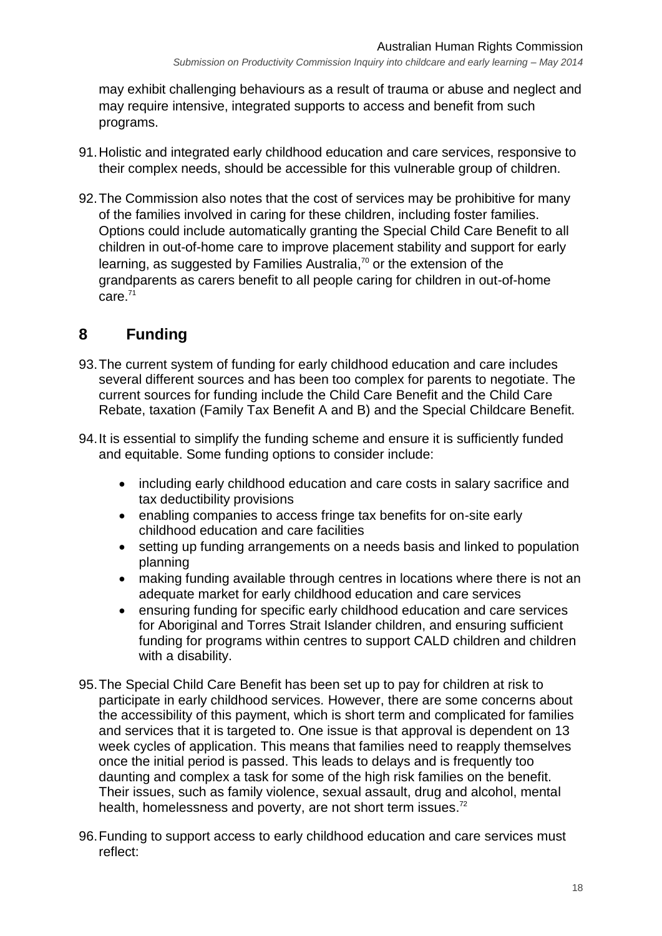may exhibit challenging behaviours as a result of trauma or abuse and neglect and may require intensive, integrated supports to access and benefit from such programs.

- 91.Holistic and integrated early childhood education and care services, responsive to their complex needs, should be accessible for this vulnerable group of children.
- 92.The Commission also notes that the cost of services may be prohibitive for many of the families involved in caring for these children, including foster families. Options could include automatically granting the Special Child Care Benefit to all children in out-of-home care to improve placement stability and support for early learning, as suggested by Families Australia, $\sqrt[70]{\ }$  or the extension of the grandparents as carers benefit to all people caring for children in out-of-home care.<sup>71</sup>

# <span id="page-17-0"></span>**8 Funding**

- 93.The current system of funding for early childhood education and care includes several different sources and has been too complex for parents to negotiate. The current sources for funding include the Child Care Benefit and the Child Care Rebate, taxation (Family Tax Benefit A and B) and the Special Childcare Benefit.
- 94.It is essential to simplify the funding scheme and ensure it is sufficiently funded and equitable. Some funding options to consider include:
	- including early childhood education and care costs in salary sacrifice and tax deductibility provisions
	- enabling companies to access fringe tax benefits for on-site early childhood education and care facilities
	- setting up funding arrangements on a needs basis and linked to population planning
	- making funding available through centres in locations where there is not an adequate market for early childhood education and care services
	- ensuring funding for specific early childhood education and care services for Aboriginal and Torres Strait Islander children, and ensuring sufficient funding for programs within centres to support CALD children and children with a disability.
- 95.The Special Child Care Benefit has been set up to pay for children at risk to participate in early childhood services. However, there are some concerns about the accessibility of this payment, which is short term and complicated for families and services that it is targeted to. One issue is that approval is dependent on 13 week cycles of application. This means that families need to reapply themselves once the initial period is passed. This leads to delays and is frequently too daunting and complex a task for some of the high risk families on the benefit. Their issues, such as family violence, sexual assault, drug and alcohol, mental health, homelessness and poverty, are not short term issues.<sup>72</sup>
- 96.Funding to support access to early childhood education and care services must reflect: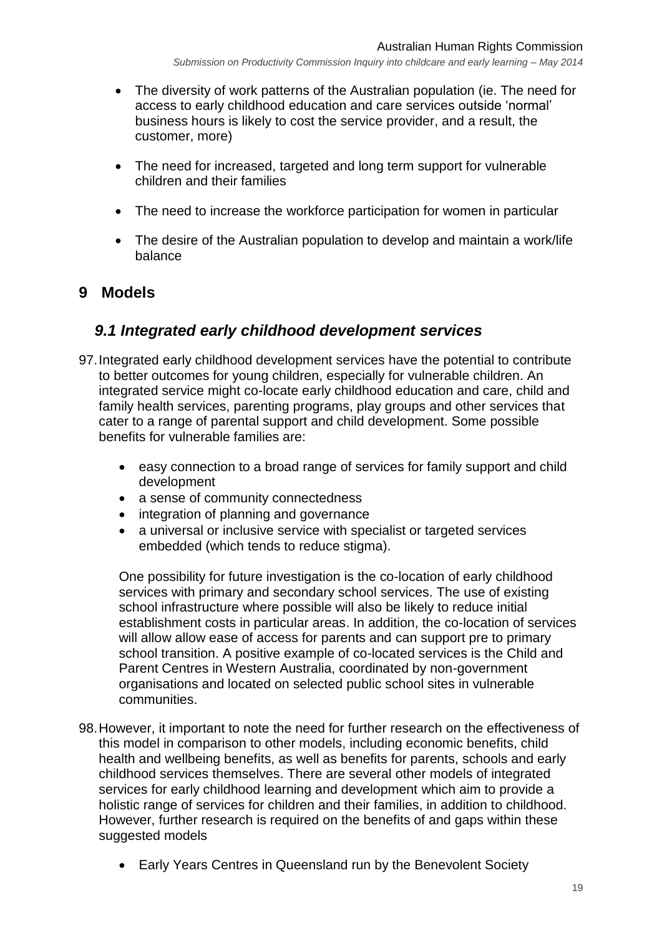- The diversity of work patterns of the Australian population (ie. The need for access to early childhood education and care services outside 'normal' business hours is likely to cost the service provider, and a result, the customer, more)
- The need for increased, targeted and long term support for vulnerable children and their families
- The need to increase the workforce participation for women in particular
- The desire of the Australian population to develop and maintain a work/life balance

## <span id="page-18-0"></span>**9 Models**

## <span id="page-18-1"></span>*9.1 Integrated early childhood development services*

- 97.Integrated early childhood development services have the potential to contribute to better outcomes for young children, especially for vulnerable children. An integrated service might co-locate early childhood education and care, child and family health services, parenting programs, play groups and other services that cater to a range of parental support and child development. Some possible benefits for vulnerable families are:
	- easy connection to a broad range of services for family support and child development
	- a sense of community connectedness
	- integration of planning and governance
	- a universal or inclusive service with specialist or targeted services embedded (which tends to reduce stigma).

One possibility for future investigation is the co-location of early childhood services with primary and secondary school services. The use of existing school infrastructure where possible will also be likely to reduce initial establishment costs in particular areas. In addition, the co-location of services will allow allow ease of access for parents and can support pre to primary school transition. A positive example of co-located services is the Child and Parent Centres in Western Australia, coordinated by non-government organisations and located on selected public school sites in vulnerable communities.

- 98.However, it important to note the need for further research on the effectiveness of this model in comparison to other models, including economic benefits, child health and wellbeing benefits, as well as benefits for parents, schools and early childhood services themselves. There are several other models of integrated services for early childhood learning and development which aim to provide a holistic range of services for children and their families, in addition to childhood. However, further research is required on the benefits of and gaps within these suggested models
	- Early Years Centres in Queensland run by the Benevolent Society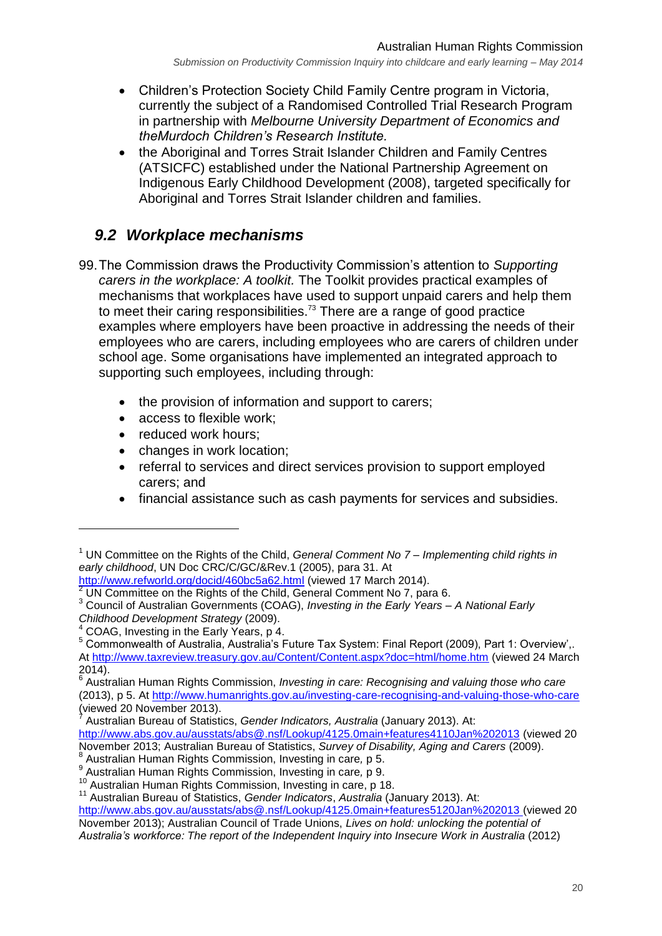- Children's Protection Society Child Family Centre program in Victoria, currently the subject of a Randomised Controlled Trial Research Program in partnership with *Melbourne University Department of Economics and theMurdoch Children's Research Institute.*
- the Aboriginal and Torres Strait Islander Children and Family Centres (ATSICFC) established under the National Partnership Agreement on Indigenous Early Childhood Development (2008), targeted specifically for Aboriginal and Torres Strait Islander children and families.

## <span id="page-19-0"></span>*9.2 Workplace mechanisms*

- 99.The Commission draws the Productivity Commission's attention to *Supporting carers in the workplace: A toolkit.* The Toolkit provides practical examples of mechanisms that workplaces have used to support unpaid carers and help them to meet their caring responsibilities.<sup>73</sup> There are a range of good practice examples where employers have been proactive in addressing the needs of their employees who are carers, including employees who are carers of children under school age. Some organisations have implemented an integrated approach to supporting such employees, including through:
	- the provision of information and support to carers;
	- access to flexible work:
	- reduced work hours;
	- changes in work location;
	- referral to services and direct services provision to support employed carers; and
	- financial assistance such as cash payments for services and subsidies.

 $\overline{a}$ 

<sup>1</sup> UN Committee on the Rights of the Child, *General Comment No 7 – Implementing child rights in early childhood*, UN Doc CRC/C/GC/&Rev.1 (2005), para 31. At

<http://www.refworld.org/docid/460bc5a62.html> (viewed 17 March 2014).

<sup>2</sup> UN Committee on the Rights of the Child, General Comment No 7, para 6. <sup>3</sup> Council of Australian Governments (COAG), *Investing in the Early Years – A National Early* 

*Childhood Development Strategy* (2009).

<sup>4</sup> COAG, Investing in the Early Years, p 4.

<sup>5</sup> Commonwealth of Australia, Australia's Future Tax System: Final Report (2009), Part 1: Overview',. At<http://www.taxreview.treasury.gov.au/Content/Content.aspx?doc=html/home.htm> (viewed 24 March 2014).

<sup>6</sup> Australian Human Rights Commission, *Investing in care: Recognising and valuing those who care* (2013), p 5. At<http://www.humanrights.gov.au/investing-care-recognising-and-valuing-those-who-care> (viewed 20 November 2013).

<sup>7</sup> Australian Bureau of Statistics, *Gender Indicators, Australia* (January 2013). At:

<http://www.abs.gov.au/ausstats/abs@.nsf/Lookup/4125.0main+features4110Jan%202013> (viewed 20 November 2013; Australian Bureau of Statistics, *Survey of Disability, Aging and Carers* (2009). 8

Australian Human Rights Commission, Investing in care*,* p 5.

<sup>9</sup> Australian Human Rights Commission, Investing in care*,* p 9. <sup>10</sup> Australian Human Rights Commission, Investing in care, p 18.

<sup>11</sup> Australian Bureau of Statistics, *Gender Indicators*, *Australia* (January 2013). At:

<http://www.abs.gov.au/ausstats/abs@.nsf/Lookup/4125.0main+features5120Jan%202013> (viewed 20 November 2013); Australian Council of Trade Unions, *Lives on hold: unlocking the potential of Australia's workforce: The report of the Independent Inquiry into Insecure Work in Australia* (2012)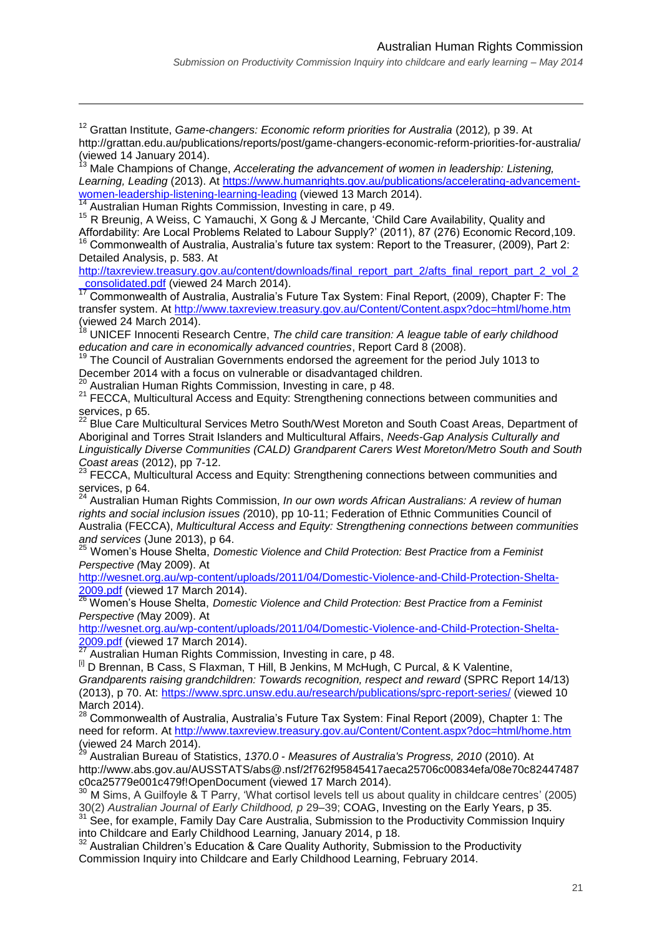*Submission on Productivity Commission Inquiry into childcare and early learning – May 2014*

<sup>12</sup> Grattan Institute, *Game-changers: Economic reform priorities for Australia* (2012)*,* p 39. At http://grattan.edu.au/publications/reports/post/game-changers-economic-reform-priorities-for-australia/ (viewed 14 January 2014).

<sup>13</sup> Male Champions of Change, *Accelerating the advancement of women in leadership: Listening, Learning, Leading* (2013). At [https://www.humanrights.gov.au/publications/accelerating-advancement](https://www.humanrights.gov.au/publications/accelerating-advancement-women-leadership-listening-learning-leading)[women-leadership-listening-learning-leading](https://www.humanrights.gov.au/publications/accelerating-advancement-women-leadership-listening-learning-leading) (viewed 13 March 2014).

<sup>14</sup> Australian Human Rights Commission, Investing in care, p 49.

 $\overline{a}$ 

<sup>15</sup> R Breunig, A Weiss, C Yamauchi, X Gong & J Mercante, 'Child Care Availability, Quality and Affordability: Are Local Problems Related to Labour Supply?' (2011), 87 (276) Economic Record,109. <sup>16</sup> Commonwealth of Australia, Australia's future tax system: Report to the Treasurer, (2009), Part 2: Detailed Analysis, p. 583. At

[http://taxreview.treasury.gov.au/content/downloads/final\\_report\\_part\\_2/afts\\_final\\_report\\_part\\_2\\_vol\\_2](http://taxreview.treasury.gov.au/content/downloads/final_report_part_2/afts_final_report_part_2_vol_2_consolidated.pdf) <u>consolidated.pdf</u> (viewed 24 March 2014).

<sup>17</sup> Commonwealth of Australia, Australia's Future Tax System: Final Report, (2009), Chapter F: The transfer system. At<http://www.taxreview.treasury.gov.au/Content/Content.aspx?doc=html/home.htm> (viewed 24 March 2014).

<sup>18</sup> UNICEF Innocenti Research Centre, *The child care transition: A league table of early childhood education and care in economically advanced countries*, Report Card 8 (2008).

 $19$  The Council of Australian Governments endorsed the agreement for the period July 1013 to December 2014 with a focus on vulnerable or disadvantaged children.

<sup>20</sup> Australian Human Rights Commission, Investing in care, p 48.

21 FECCA, Multicultural Access and Equity: Strengthening connections between communities and services, p 65.

<sup>22</sup> Blue Care Multicultural Services Metro South/West Moreton and South Coast Areas, Department of Aboriginal and Torres Strait Islanders and Multicultural Affairs, *Needs-Gap Analysis Culturally and Linguistically Diverse Communities (CALD) Grandparent Carers West Moreton/Metro South and South Coast areas* (2012), pp 7-12.

<sup>23</sup> FECCA, Multicultural Access and Equity: Strengthening connections between communities and services, p 64.

<sup>24</sup> Australian Human Rights Commission, *In our own words African Australians: A review of human rights and social inclusion issues (*2010), pp 10-11; Federation of Ethnic Communities Council of Australia (FECCA), *Multicultural Access and Equity: Strengthening connections between communities and services* (June 2013), p 64.

<sup>25</sup> Women's House Shelta, *Domestic Violence and Child Protection: Best Practice from a Feminist Perspective (*May 2009). At

[http://wesnet.org.au/wp-content/uploads/2011/04/Domestic-Violence-and-Child-Protection-Shelta-](http://wesnet.org.au/wp-content/uploads/2011/04/Domestic-Violence-and-Child-Protection-Shelta-2009.pdf)[2009.pdf](http://wesnet.org.au/wp-content/uploads/2011/04/Domestic-Violence-and-Child-Protection-Shelta-2009.pdf) (viewed 17 March 2014).

<sup>26</sup> Women's House Shelta, *Domestic Violence and Child Protection: Best Practice from a Feminist Perspective (*May 2009). At

[http://wesnet.org.au/wp-content/uploads/2011/04/Domestic-Violence-and-Child-Protection-Shelta-](http://wesnet.org.au/wp-content/uploads/2011/04/Domestic-Violence-and-Child-Protection-Shelta-2009.pdf)[2009.pdf](http://wesnet.org.au/wp-content/uploads/2011/04/Domestic-Violence-and-Child-Protection-Shelta-2009.pdf) (viewed 17 March 2014).

2003.pdf (viewed *Trematon Lotter*).<br><sup>27</sup> Australian Human Rights Commission, Investing in care, p 48.

[i] D Brennan, B Cass, S Flaxman, T Hill, B Jenkins, M McHugh, C Purcal, & K Valentine, *Grandparents raising grandchildren: Towards recognition, respect and reward* (SPRC Report 14/13) (2013), p 70. At:<https://www.sprc.unsw.edu.au/research/publications/sprc-report-series/> (viewed 10 March 2014).

28 Commonwealth of Australia, Australia's Future Tax System: Final Report (2009), Chapter 1: The need for reform. At<http://www.taxreview.treasury.gov.au/Content/Content.aspx?doc=html/home.htm> (viewed 24 March 2014).

<sup>29</sup> Australian Bureau of Statistics, *1370.0 - Measures of Australia's Progress, 2010* (2010). At http://www.abs.gov.au/AUSSTATS/abs@.nsf/2f762f95845417aeca25706c00834efa/08e70c82447487 c0ca25779e001c479f!OpenDocument (viewed 17 March 2014).

<sup>30</sup> M Sims, A Guilfoyle & T Parry, 'What cortisol levels tell us about quality in childcare centres' (2005) 30(2) *Australian Journal of Early Childhood, p* 29–39; COAG, Investing on the Early Years, p 35.

<sup>31</sup> See, for example, Family Day Care Australia, Submission to the Productivity Commission Inquiry into Childcare and Early Childhood Learning, January 2014, p 18.

 $32$  Australian Children's Education & Care Quality Authority, Submission to the Productivity Commission Inquiry into Childcare and Early Childhood Learning, February 2014.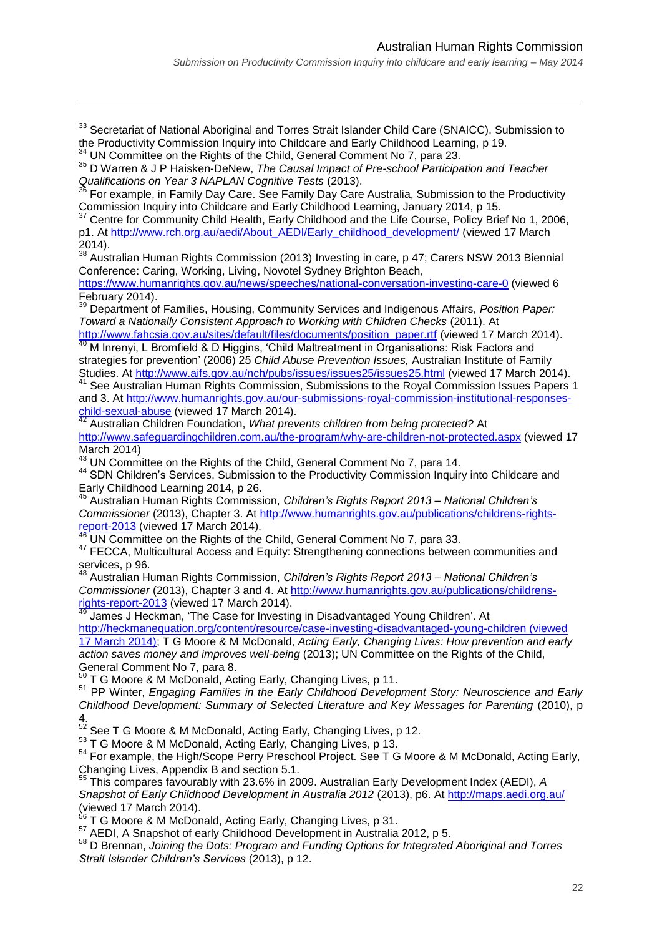<sup>33</sup> Secretariat of National Aboriginal and Torres Strait Islander Child Care (SNAICC), Submission to the Productivity Commission Inquiry into Childcare and Early Childhood Learning, p 19.

<sup>34</sup> UN Committee on the Rights of the Child, General Comment No 7, para 23.

 $\overline{a}$ 

<sup>35</sup> D Warren & J P Haisken-DeNew, *The Causal Impact of Pre-school Participation and Teacher Qualifications on Year 3 NAPLAN Cognitive Tests* (2013).

 $36$  For example, in Family Day Care. See Family Day Care Australia, Submission to the Productivity Commission Inquiry into Childcare and Early Childhood Learning, January 2014, p 15.

<sup>37</sup> Centre for Community Child Health, Early Childhood and the Life Course, Policy Brief No 1, 2006, p1. At [http://www.rch.org.au/aedi/About\\_AEDI/Early\\_childhood\\_development/](http://www.rch.org.au/aedi/About_AEDI/Early_childhood_development/) (viewed 17 March 2014).

 $38$  Australian Human Rights Commission (2013) Investing in care, p 47; Carers NSW 2013 Biennial Conference: Caring, Working, Living, Novotel Sydney Brighton Beach,

<https://www.humanrights.gov.au/news/speeches/national-conversation-investing-care-0> (viewed 6 February 2014).

<sup>39</sup> Department of Families, Housing, Community Services and Indigenous Affairs, *Position Paper: Toward a Nationally Consistent Approach to Working with Children Checks* (2011). At

[http://www.fahcsia.gov.au/sites/default/files/documents/position\\_paper.rtf](http://www.fahcsia.gov.au/sites/default/files/documents/position_paper.rtf) (viewed 17 March 2014). 40 M Inrenyi, L Bromfield & D Higgins, 'Child Maltreatment in Organisations: Risk Factors and strategies for prevention' (2006) 25 *Child Abuse Prevention Issues,* Australian Institute of Family

Studies. At<http://www.aifs.gov.au/nch/pubs/issues/issues25/issues25.html> (viewed 17 March 2014). All Studies. At *IRP://www.alls.gov.au/horrylacs/locacs/locacs/concess/concess/commission* | ssues Papers 1 and 3. At [http://www.humanrights.gov.au/our-submissions-royal-commission-institutional-responses](http://www.humanrights.gov.au/our-submissions-royal-commission-institutional-responses-child-sexual-abuse)[child-sexual-abuse](http://www.humanrights.gov.au/our-submissions-royal-commission-institutional-responses-child-sexual-abuse) (viewed 17 March 2014).

<sup>42</sup> Australian Children Foundation, *What prevents children from being protected?* At <http://www.safeguardingchildren.com.au/the-program/why-are-children-not-protected.aspx> (viewed 17 March 2014)

43 UN Committee on the Rights of the Child, General Comment No 7, para 14.

44 SDN Children's Services, Submission to the Productivity Commission Inquiry into Childcare and Early Childhood Learning 2014, p 26.

<sup>45</sup> Australian Human Rights Commission, *Children's Rights Report 2013 – National Children's Commissioner* (2013), Chapter 3. At [http://www.humanrights.gov.au/publications/childrens-rights](http://www.humanrights.gov.au/publications/childrens-rights-report-2013)[report-2013](http://www.humanrights.gov.au/publications/childrens-rights-report-2013) (viewed 17 March 2014).

UN Committee on the Rights of the Child, General Comment No 7, para 33.

<sup>47</sup> FECCA. Multicultural Access and Equity: Strengthening connections between communities and services, p 96.

<sup>48</sup> Australian Human Rights Commission, *Children's Rights Report 2013 – National Children's Commissioner* (2013), Chapter 3 and 4. At [http://www.humanrights.gov.au/publications/childrens](http://www.humanrights.gov.au/publications/childrens-rights-report-2013)[rights-report-2013](http://www.humanrights.gov.au/publications/childrens-rights-report-2013) (viewed 17 March 2014).

James J Heckman, 'The Case for Investing in Disadvantaged Young Children'. At <http://heckmanequation.org/content/resource/case-investing-disadvantaged-young-children> (viewed 17 March 2014); T G Moore & M McDonald, *Acting Early, Changing Lives: How prevention and early action saves money and improves well-being* (2013); UN Committee on the Rights of the Child, General Comment No 7, para 8.

<sup>50</sup> T G Moore & M McDonald, Acting Early, Changing Lives, p 11.

<sup>51</sup> PP Winter, *Engaging Families in the Early Childhood Development Story: Neuroscience and Early Childhood Development: Summary of Selected Literature and Key Messages for Parenting* (2010), p 4.

 $52$  See T G Moore & M McDonald, Acting Early, Changing Lives, p 12.

53 T G Moore & M McDonald, Acting Early, Changing Lives, p 13.

<sup>54</sup> For example, the High/Scope Perry Preschool Project. See T G Moore & M McDonald, Acting Early, Changing Lives, Appendix B and section 5.1.

<sup>55</sup> This compares favourably with 23.6% in 2009. Australian Early Development Index (AEDI), *A Snapshot of Early Childhood Development in Australia 2012* (2013), p6. At<http://maps.aedi.org.au/> (viewed 17 March 2014).

T G Moore & M McDonald, Acting Early, Changing Lives, p 31.

<sup>57</sup> AEDI, A Snapshot of early Childhood Development in Australia 2012, p 5.

<sup>58</sup> D Brennan, *Joining the Dots: Program and Funding Options for Integrated Aboriginal and Torres Strait Islander Children's Services* (2013), p 12.